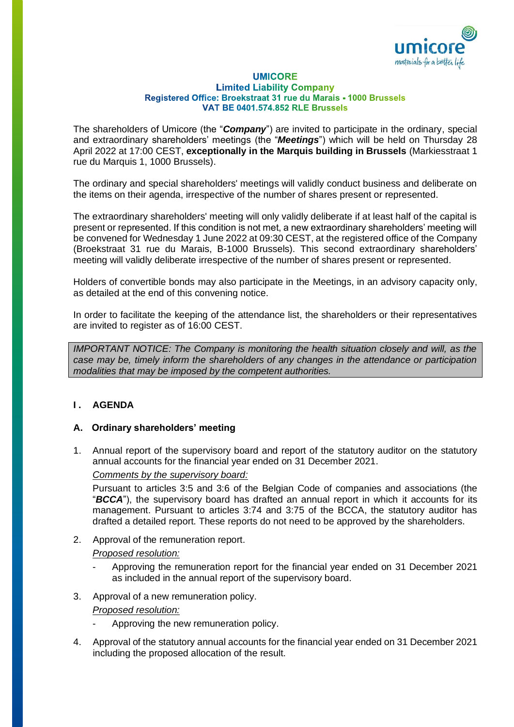

#### **UMICORE Limited Liability Company** Registered Office: Broekstraat 31 rue du Marais - 1000 Brussels **VAT BE 0401.574.852 RLE Brussels**

The shareholders of Umicore (the "*Company*") are invited to participate in the ordinary, special and extraordinary shareholders' meetings (the "*Meetings*") which will be held on Thursday 28 April 2022 at 17:00 CEST, **exceptionally in the Marquis building in Brussels** (Markiesstraat 1 rue du Marquis 1, 1000 Brussels).

The ordinary and special shareholders' meetings will validly conduct business and deliberate on the items on their agenda, irrespective of the number of shares present or represented.

The extraordinary shareholders' meeting will only validly deliberate if at least half of the capital is present or represented. If this condition is not met, a new extraordinary shareholders' meeting will be convened for Wednesday 1 June 2022 at 09:30 CEST, at the registered office of the Company (Broekstraat 31 rue du Marais, B-1000 Brussels). This second extraordinary shareholders' meeting will validly deliberate irrespective of the number of shares present or represented.

Holders of convertible bonds may also participate in the Meetings, in an advisory capacity only, as detailed at the end of this convening notice.

In order to facilitate the keeping of the attendance list, the shareholders or their representatives are invited to register as of 16:00 CEST.

*IMPORTANT NOTICE: The Company is monitoring the health situation closely and will, as the case may be, timely inform the shareholders of any changes in the attendance or participation modalities that may be imposed by the competent authorities.*

## **I . AGENDA**

### **A. Ordinary shareholders' meeting**

1. Annual report of the supervisory board and report of the statutory auditor on the statutory annual accounts for the financial year ended on 31 December 2021.

### *Comments by the supervisory board:*

Pursuant to articles 3:5 and 3:6 of the Belgian Code of companies and associations (the "*BCCA*"), the supervisory board has drafted an annual report in which it accounts for its management. Pursuant to articles 3:74 and 3:75 of the BCCA, the statutory auditor has drafted a detailed report. These reports do not need to be approved by the shareholders.

2. Approval of the remuneration report.

### *Proposed resolution:*

- Approving the remuneration report for the financial year ended on 31 December 2021 as included in the annual report of the supervisory board.
- 3. Approval of a new remuneration policy.

### *Proposed resolution:*

- Approving the new remuneration policy.
- 4. Approval of the statutory annual accounts for the financial year ended on 31 December 2021 including the proposed allocation of the result.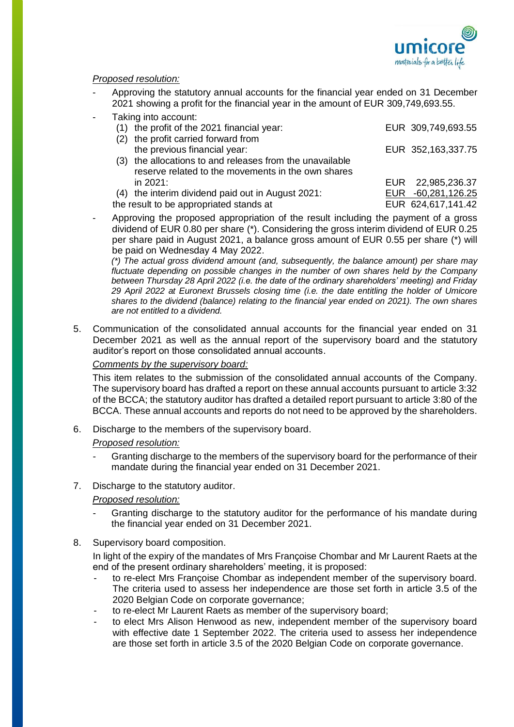

## *Proposed resolution:*

- Approving the statutory annual accounts for the financial year ended on 31 December 2021 showing a profit for the financial year in the amount of EUR 309,749,693.55.
- Taking into account:

|                                         | (1) the profit of the 2021 financial year:               | EUR 309,749,693.55 |
|-----------------------------------------|----------------------------------------------------------|--------------------|
| (2)                                     | the profit carried forward from                          |                    |
|                                         | the previous financial year:                             | EUR 352,163,337.75 |
|                                         | (3) the allocations to and releases from the unavailable |                    |
|                                         | reserve related to the movements in the own shares       |                    |
|                                         | in 2021:                                                 | EUR 22,985,236.37  |
| (4)                                     | the interim dividend paid out in August 2021:            | EUR -60,281,126.25 |
| the result to be appropriated stands at |                                                          | EUR 624,617,141.42 |
|                                         |                                                          |                    |

- Approving the proposed appropriation of the result including the payment of a gross dividend of EUR 0.80 per share (\*). Considering the gross interim dividend of EUR 0.25 per share paid in August 2021, a balance gross amount of EUR 0.55 per share (\*) will be paid on Wednesday 4 May 2022.

*(\*) The actual gross dividend amount (and, subsequently, the balance amount) per share may fluctuate depending on possible changes in the number of own shares held by the Company between Thursday 28 April 2022 (i.e. the date of the ordinary shareholders' meeting) and Friday 29 April 2022 at Euronext Brussels closing time (i.e. the date entitling the holder of Umicore shares to the dividend (balance) relating to the financial year ended on 2021). The own shares are not entitled to a dividend.*

5. Communication of the consolidated annual accounts for the financial year ended on 31 December 2021 as well as the annual report of the supervisory board and the statutory auditor's report on those consolidated annual accounts.

### *Comments by the supervisory board:*

This item relates to the submission of the consolidated annual accounts of the Company. The supervisory board has drafted a report on these annual accounts pursuant to article 3:32 of the BCCA; the statutory auditor has drafted a detailed report pursuant to article 3:80 of the BCCA. These annual accounts and reports do not need to be approved by the shareholders.

6. Discharge to the members of the supervisory board.

### *Proposed resolution:*

- Granting discharge to the members of the supervisory board for the performance of their mandate during the financial year ended on 31 December 2021.
- 7. Discharge to the statutory auditor.

*Proposed resolution:*

- Granting discharge to the statutory auditor for the performance of his mandate during the financial year ended on 31 December 2021.
- 8. Supervisory board composition.

In light of the expiry of the mandates of Mrs Françoise Chombar and Mr Laurent Raets at the end of the present ordinary shareholders' meeting, it is proposed:

- to re-elect Mrs Françoise Chombar as independent member of the supervisory board. The criteria used to assess her independence are those set forth in article 3.5 of the 2020 Belgian Code on corporate governance;
- to re-elect Mr Laurent Raets as member of the supervisory board;
- to elect Mrs Alison Henwood as new, independent member of the supervisory board with effective date 1 September 2022. The criteria used to assess her independence are those set forth in article 3.5 of the 2020 Belgian Code on corporate governance.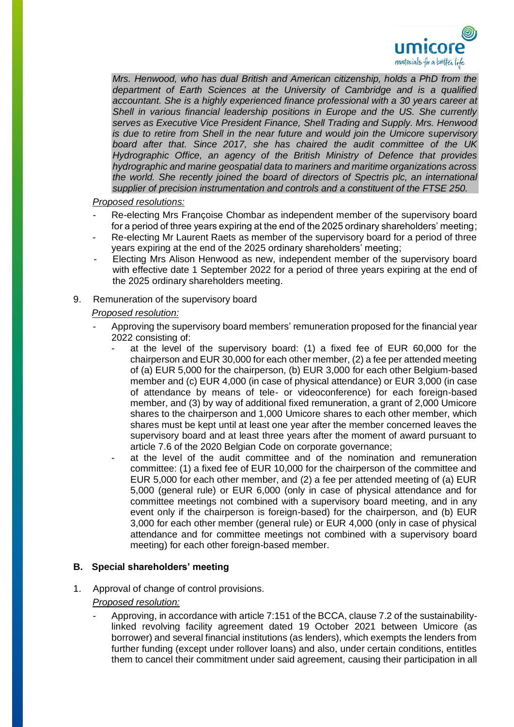

*Mrs. Henwood, who has dual British and American citizenship, holds a PhD from the department of Earth Sciences at the University of Cambridge and is a qualified accountant. She is a highly experienced finance professional with a 30 years career at Shell in various financial leadership positions in Europe and the US. She currently serves as Executive Vice President Finance, Shell Trading and Supply. Mrs. Henwood is due to retire from Shell in the near future and would join the Umicore supervisory board after that. Since 2017, she has chaired the audit committee of the UK Hydrographic Office, an agency of the British Ministry of Defence that provides hydrographic and marine geospatial data to mariners and maritime organizations across the world. She recently joined the board of directors of Spectris plc, an international supplier of precision instrumentation and controls and a constituent of the FTSE 250.*

## *Proposed resolutions:*

- Re-electing Mrs Françoise Chombar as independent member of the supervisory board for a period of three years expiring at the end of the 2025 ordinary shareholders' meeting;
- Re-electing Mr Laurent Raets as member of the supervisory board for a period of three years expiring at the end of the 2025 ordinary shareholders' meeting;
- Electing Mrs Alison Henwood as new, independent member of the supervisory board with effective date 1 September 2022 for a period of three years expiring at the end of the 2025 ordinary shareholders meeting.
- 9. Remuneration of the supervisory board

### *Proposed resolution:*

- Approving the supervisory board members' remuneration proposed for the financial year 2022 consisting of:
	- at the level of the supervisory board: (1) a fixed fee of EUR 60,000 for the chairperson and EUR 30,000 for each other member, (2) a fee per attended meeting of (a) EUR 5,000 for the chairperson, (b) EUR 3,000 for each other Belgium-based member and (c) EUR 4,000 (in case of physical attendance) or EUR 3,000 (in case of attendance by means of tele- or videoconference) for each foreign-based member, and (3) by way of additional fixed remuneration, a grant of 2,000 Umicore shares to the chairperson and 1,000 Umicore shares to each other member, which shares must be kept until at least one year after the member concerned leaves the supervisory board and at least three years after the moment of award pursuant to article 7.6 of the 2020 Belgian Code on corporate governance;
	- at the level of the audit committee and of the nomination and remuneration committee: (1) a fixed fee of EUR 10,000 for the chairperson of the committee and EUR 5,000 for each other member, and (2) a fee per attended meeting of (a) EUR 5,000 (general rule) or EUR 6,000 (only in case of physical attendance and for committee meetings not combined with a supervisory board meeting, and in any event only if the chairperson is foreign-based) for the chairperson, and (b) EUR 3,000 for each other member (general rule) or EUR 4,000 (only in case of physical attendance and for committee meetings not combined with a supervisory board meeting) for each other foreign-based member.

## **B. Special shareholders' meeting**

1. Approval of change of control provisions.

## *Proposed resolution:*

- Approving, in accordance with article 7:151 of the BCCA, clause 7.2 of the sustainabilitylinked revolving facility agreement dated 19 October 2021 between Umicore (as borrower) and several financial institutions (as lenders), which exempts the lenders from further funding (except under rollover loans) and also, under certain conditions, entitles them to cancel their commitment under said agreement, causing their participation in all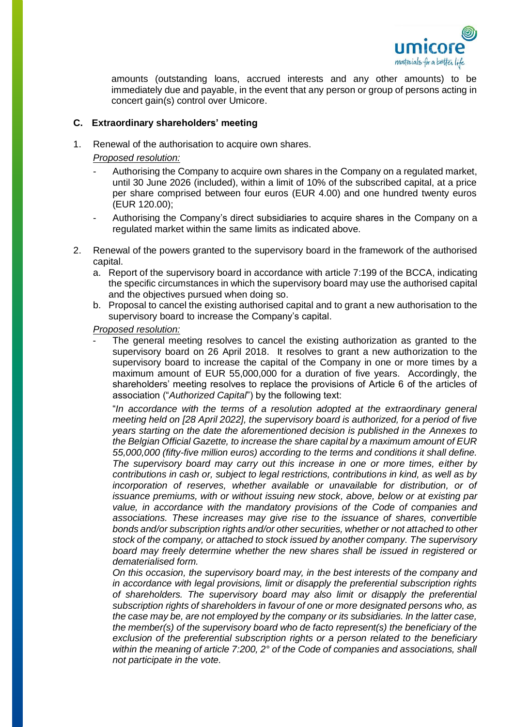

amounts (outstanding loans, accrued interests and any other amounts) to be immediately due and payable, in the event that any person or group of persons acting in concert gain(s) control over Umicore.

### **C. Extraordinary shareholders' meeting**

1. Renewal of the authorisation to acquire own shares.

*Proposed resolution:* 

- Authorising the Company to acquire own shares in the Company on a regulated market, until 30 June 2026 (included), within a limit of 10% of the subscribed capital, at a price per share comprised between four euros (EUR 4.00) and one hundred twenty euros (EUR 120.00);
- Authorising the Company's direct subsidiaries to acquire shares in the Company on a regulated market within the same limits as indicated above.
- 2. Renewal of the powers granted to the supervisory board in the framework of the authorised capital.
	- a. Report of the supervisory board in accordance with article 7:199 of the BCCA, indicating the specific circumstances in which the supervisory board may use the authorised capital and the objectives pursued when doing so.
	- b. Proposal to cancel the existing authorised capital and to grant a new authorisation to the supervisory board to increase the Company's capital.

*Proposed resolution:* 

The general meeting resolves to cancel the existing authorization as granted to the supervisory board on 26 April 2018. It resolves to grant a new authorization to the supervisory board to increase the capital of the Company in one or more times by a maximum amount of EUR 55,000,000 for a duration of five years. Accordingly, the shareholders' meeting resolves to replace the provisions of Article 6 of the articles of association ("*Authorized Capital*") by the following text:

"*In accordance with the terms of a resolution adopted at the extraordinary general meeting held on [28 April 2022], the supervisory board is authorized, for a period of five years starting on the date the aforementioned decision is published in the Annexes to the Belgian Official Gazette, to increase the share capital by a maximum amount of EUR 55,000,000 (fifty-five million euros) according to the terms and conditions it shall define. The supervisory board may carry out this increase in one or more times, either by contributions in cash or, subject to legal restrictions, contributions in kind, as well as by*  incorporation of reserves, whether available or unavailable for distribution, or of *issuance premiums, with or without issuing new stock, above, below or at existing par value, in accordance with the mandatory provisions of the Code of companies and associations. These increases may give rise to the issuance of shares, convertible bonds and/or subscription rights and/or other securities, whether or not attached to other stock of the company, or attached to stock issued by another company. The supervisory board may freely determine whether the new shares shall be issued in registered or dematerialised form.*

*On this occasion, the supervisory board may, in the best interests of the company and in accordance with legal provisions, limit or disapply the preferential subscription rights of shareholders. The supervisory board may also limit or disapply the preferential subscription rights of shareholders in favour of one or more designated persons who, as the case may be, are not employed by the company or its subsidiaries. In the latter case, the member(s) of the supervisory board who de facto represent(s) the beneficiary of the exclusion of the preferential subscription rights or a person related to the beneficiary within the meaning of article 7:200, 2° of the Code of companies and associations, shall not participate in the vote.*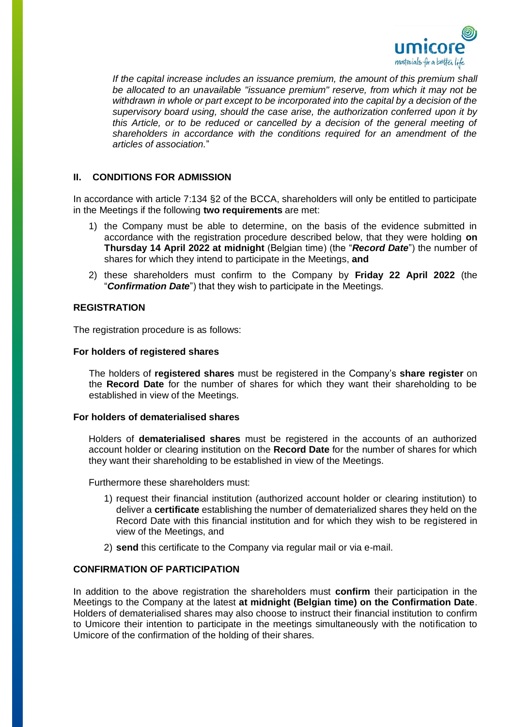

If the capital increase includes an issuance premium, the amount of this premium shall *be allocated to an unavailable "issuance premium" reserve, from which it may not be withdrawn in whole or part except to be incorporated into the capital by a decision of the supervisory board using, should the case arise, the authorization conferred upon it by*  this Article, or to be reduced or cancelled by a decision of the general meeting of *shareholders in accordance with the conditions required for an amendment of the articles of association.*"

## **II. CONDITIONS FOR ADMISSION**

In accordance with article 7:134 §2 of the BCCA, shareholders will only be entitled to participate in the Meetings if the following **two requirements** are met:

- 1) the Company must be able to determine, on the basis of the evidence submitted in accordance with the registration procedure described below, that they were holding **on Thursday 14 April 2022 at midnight** (Belgian time) (the "*Record Date*") the number of shares for which they intend to participate in the Meetings, **and**
- 2) these shareholders must confirm to the Company by **Friday 22 April 2022** (the "*Confirmation Date*") that they wish to participate in the Meetings.

### **REGISTRATION**

The registration procedure is as follows:

### **For holders of registered shares**

The holders of **registered shares** must be registered in the Company's **share register** on the **Record Date** for the number of shares for which they want their shareholding to be established in view of the Meetings.

### **For holders of dematerialised shares**

Holders of **dematerialised shares** must be registered in the accounts of an authorized account holder or clearing institution on the **Record Date** for the number of shares for which they want their shareholding to be established in view of the Meetings.

Furthermore these shareholders must:

- 1) request their financial institution (authorized account holder or clearing institution) to deliver a **certificate** establishing the number of dematerialized shares they held on the Record Date with this financial institution and for which they wish to be registered in view of the Meetings, and
- 2) **send** this certificate to the Company via regular mail or via e-mail.

### **CONFIRMATION OF PARTICIPATION**

In addition to the above registration the shareholders must **confirm** their participation in the Meetings to the Company at the latest **at midnight (Belgian time) on the Confirmation Date**. Holders of dematerialised shares may also choose to instruct their financial institution to confirm to Umicore their intention to participate in the meetings simultaneously with the notification to Umicore of the confirmation of the holding of their shares.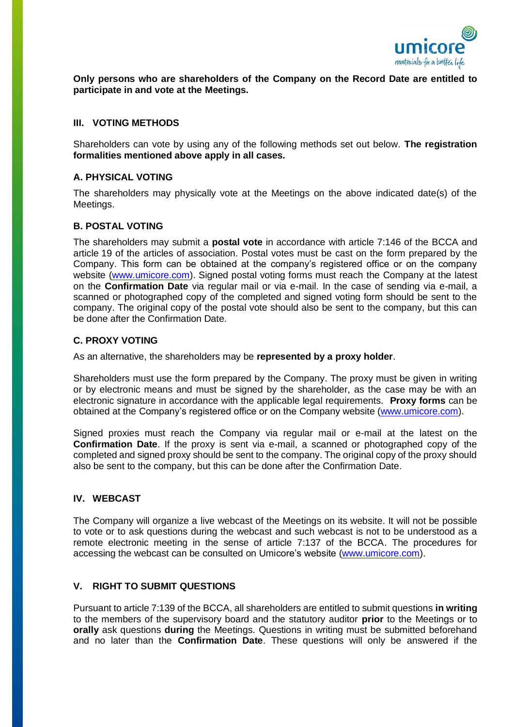

**Only persons who are shareholders of the Company on the Record Date are entitled to participate in and vote at the Meetings.**

### **III. VOTING METHODS**

Shareholders can vote by using any of the following methods set out below. **The registration formalities mentioned above apply in all cases.**

## **A. PHYSICAL VOTING**

The shareholders may physically vote at the Meetings on the above indicated date(s) of the Meetings.

### **B. POSTAL VOTING**

The shareholders may submit a **postal vote** in accordance with article 7:146 of the BCCA and article 19 of the articles of association. Postal votes must be cast on the form prepared by the Company. This form can be obtained at the company's registered office or on the company website [\(www.umicore.com\)](file://///thalia/COMPSEC/AGM%20-%20EGM/AGM/2014/Convening%20Notices/www.umicore.com). Signed postal voting forms must reach the Company at the latest on the **Confirmation Date** via regular mail or via e-mail. In the case of sending via e-mail, a scanned or photographed copy of the completed and signed voting form should be sent to the company. The original copy of the postal vote should also be sent to the company, but this can be done after the Confirmation Date.

### **C. PROXY VOTING**

As an alternative, the shareholders may be **represented by a proxy holder**.

Shareholders must use the form prepared by the Company. The proxy must be given in writing or by electronic means and must be signed by the shareholder, as the case may be with an electronic signature in accordance with the applicable legal requirements. **Proxy forms** can be obtained at the Company's registered office or on the Company website [\(www.umicore.com\)](file://///thalia/COMPSEC/AGM%20-%20EGM/AGM/2014/Convening%20Notices/www.umicore.com).

Signed proxies must reach the Company via regular mail or e-mail at the latest on the **Confirmation Date**. If the proxy is sent via e-mail, a scanned or photographed copy of the completed and signed proxy should be sent to the company. The original copy of the proxy should also be sent to the company, but this can be done after the Confirmation Date.

# **IV. WEBCAST**

The Company will organize a live webcast of the Meetings on its website. It will not be possible to vote or to ask questions during the webcast and such webcast is not to be understood as a remote electronic meeting in the sense of article 7:137 of the BCCA. The procedures for accessing the webcast can be consulted on Umicore's website (www.umicore.com).

### **V. RIGHT TO SUBMIT QUESTIONS**

Pursuant to article 7:139 of the BCCA, all shareholders are entitled to submit questions **in writing** to the members of the supervisory board and the statutory auditor **prior** to the Meetings or to **orally** ask questions **during** the Meetings. Questions in writing must be submitted beforehand and no later than the **Confirmation Date**. These questions will only be answered if the